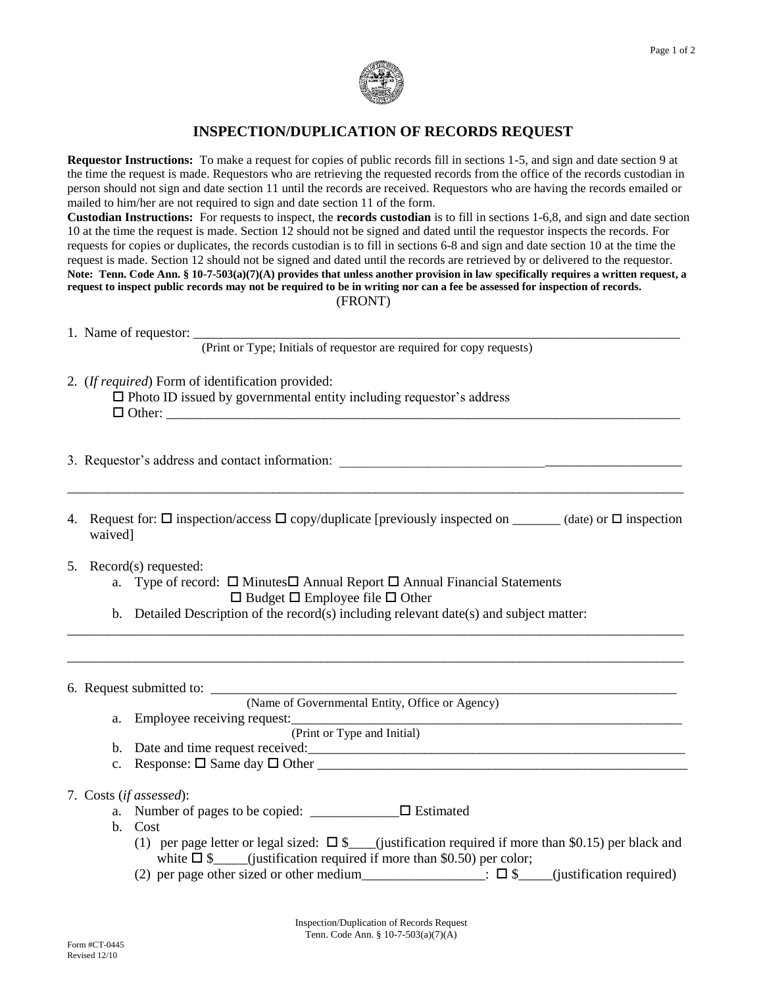

## **INSPECTION/DUPLICATION OF RECORDS REQUEST**

**Requestor Instructions:** To make a request for copies of public records fill in sections 1-5, and sign and date section 9 at the time the request is made. Requestors who are retrieving the requested records from the office of the records custodian in person should not sign and date section 11 until the records are received. Requestors who are having the records emailed or mailed to him/her are not required to sign and date section 11 of the form.

**Custodian Instructions:** For requests to inspect, the **records custodian** is to fill in sections 1-6,8, and sign and date section 10 at the time the request is made. Section 12 should not be signed and dated until the requestor inspects the records. For requests for copies or duplicates, the records custodian is to fill in sections 6-8 and sign and date section 10 at the time the request is made. Section 12 should not be signed and dated until the records are retrieved by or delivered to the requestor. **Note: Tenn. Code Ann. § 10-7-503(a)(7)(A) provides that unless another provision in law specifically requires a written request, a request to inspect public records may not be required to be in writing nor can a fee be assessed for inspection of records.** (FRONT)

1. Name of requestor: \_\_\_\_\_\_\_\_\_\_\_\_\_\_\_\_\_\_\_\_\_\_\_\_\_\_\_\_\_\_\_\_\_\_\_\_\_\_\_\_\_\_\_\_\_\_\_\_\_\_\_\_\_\_\_\_\_\_\_\_\_\_\_\_\_\_\_\_\_\_\_

(Print or Type; Initials of requestor are required for copy requests)

2. (*If required*) Form of identification provided:

 $\square$  Photo ID issued by governmental entity including requestor's address  $\Box$  Other:

3. Requestor's address and contact information: \_\_\_\_\_\_\_\_\_\_\_\_\_\_\_\_\_\_\_\_\_\_\_\_\_\_\_\_\_\_\_\_\_

4. Request for:  $\Box$  inspection/access  $\Box$  copy/duplicate [previously inspected on  $\Box$  (date) or  $\Box$  inspection waived]

\_\_\_\_\_\_\_\_\_\_\_\_\_\_\_\_\_\_\_\_\_\_\_\_\_\_\_\_\_\_\_\_\_\_\_\_\_\_\_\_\_\_\_\_\_\_\_\_\_\_\_\_\_\_\_\_\_\_\_\_\_\_\_\_\_\_\_\_\_\_\_\_\_\_\_\_\_\_\_\_\_\_\_\_\_\_\_\_\_\_

\_\_\_\_\_\_\_\_\_\_\_\_\_\_\_\_\_\_\_\_\_\_\_\_\_\_\_\_\_\_\_\_\_\_\_\_\_\_\_\_\_\_\_\_\_\_\_\_\_\_\_\_\_\_\_\_\_\_\_\_\_\_\_\_\_\_\_\_\_\_\_\_\_\_\_\_\_\_\_\_\_\_\_\_\_\_\_\_\_\_

\_\_\_\_\_\_\_\_\_\_\_\_\_\_\_\_\_\_\_\_\_\_\_\_\_\_\_\_\_\_\_\_\_\_\_\_\_\_\_\_\_\_\_\_\_\_\_\_\_\_\_\_\_\_\_\_\_\_\_\_\_\_\_\_\_\_\_\_\_\_\_\_\_\_\_\_\_\_\_\_\_\_\_\_\_\_\_\_\_\_

- 5. Record(s) requested:
	- a. Type of record:  $\Box$  Minutes  $\Box$  Annual Report  $\Box$  Annual Financial Statements  $\square$  Budget  $\square$  Employee file  $\square$  Other
	- b. Detailed Description of the record(s) including relevant date(s) and subject matter:

6. Request submitted to: \_\_\_\_\_\_\_\_\_\_\_\_\_\_\_\_\_\_\_\_\_\_\_\_\_\_\_\_\_\_\_\_\_\_\_\_\_\_\_\_\_\_\_\_\_\_\_\_\_\_\_\_\_\_\_\_\_\_\_\_\_\_\_\_\_\_\_\_ (Name of Governmental Entity, Office or Agency) a. Employee receiving request: (Print or Type and Initial) b. Date and time request received: c. Response:  $\square$  Same day  $\square$  Other 7. Costs (*if assessed*): a. Number of pages to be copied:  $\Box$   $\Box$  Estimated b. Cost (1) per page letter or legal sized:  $\square$  \$\_\_\_\_(justification required if more than \$0.15) per black and white  $\Box$  \$\_\_\_\_(justification required if more than \$0.50) per color:

(2) per page other sized or other medium<br> $\Box$ :  $\Box$  \$\_\_\_\_(justification required)